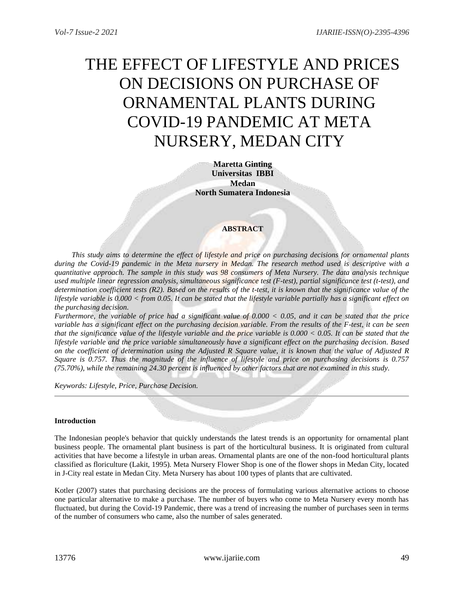# THE EFFECT OF LIFESTYLE AND PRICES ON DECISIONS ON PURCHASE OF ORNAMENTAL PLANTS DURING COVID-19 PANDEMIC AT META NURSERY, MEDAN CITY

**Maretta Ginting Universitas IBBI Medan North Sumatera Indonesia**

# **ABSTRACT**

 *This study aims to determine the effect of lifestyle and price on purchasing decisions for ornamental plants during the Covid-19 pandemic in the Meta nursery in Medan. The research method used is descriptive with a quantitative approach. The sample in this study was 98 consumers of Meta Nursery. The data analysis technique used multiple linear regression analysis, simultaneous significance test (F-test), partial significance test (t-test), and determination coefficient tests (R2). Based on the results of the t-test, it is known that the significance value of the lifestyle variable is 0.000 < from 0.05. It can be stated that the lifestyle variable partially has a significant effect on the purchasing decision.*

*Furthermore, the variable of price had a significant value of 0.000 < 0.05, and it can be stated that the price variable has a significant effect on the purchasing decision variable. From the results of the F-test, it can be seen that the significance value of the lifestyle variable and the price variable is 0.000 < 0.05. It can be stated that the lifestyle variable and the price variable simultaneously have a significant effect on the purchasing decision. Based on the coefficient of determination using the Adjusted R Square value, it is known that the value of Adjusted R Square is 0.757. Thus the magnitude of the influence of lifestyle and price on purchasing decisions is 0.757 (75.70%), while the remaining 24.30 percent is influenced by other factors that are not examined in this study.* 

*Keywords: Lifestyle, Price, Purchase Decision.*

## **Introduction**

The Indonesian people's behavior that quickly understands the latest trends is an opportunity for ornamental plant business people. The ornamental plant business is part of the horticultural business. It is originated from cultural activities that have become a lifestyle in urban areas. Ornamental plants are one of the non-food horticultural plants classified as floriculture (Lakit, 1995). Meta Nursery Flower Shop is one of the flower shops in Medan City, located in J-City real estate in Medan City. Meta Nursery has about 100 types of plants that are cultivated.

Kotler (2007) states that purchasing decisions are the process of formulating various alternative actions to choose one particular alternative to make a purchase. The number of buyers who come to Meta Nursery every month has fluctuated, but during the Covid-19 Pandemic, there was a trend of increasing the number of purchases seen in terms of the number of consumers who came, also the number of sales generated.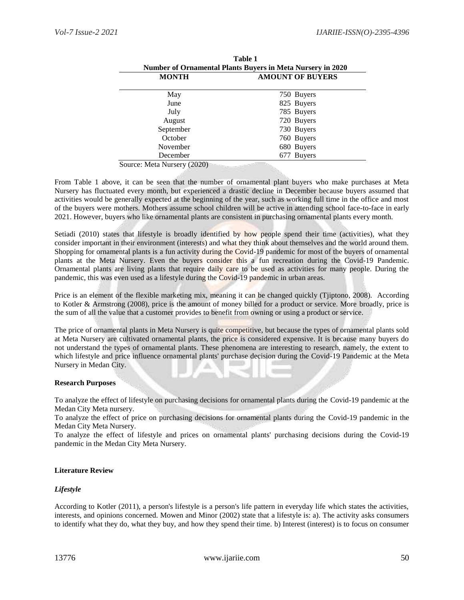| Table 1<br><b>Number of Ornamental Plants Buyers in Meta Nursery in 2020</b> |                         |  |
|------------------------------------------------------------------------------|-------------------------|--|
| <b>MONTH</b>                                                                 | <b>AMOUNT OF BUYERS</b> |  |
| May                                                                          | 750 Buyers              |  |
| June                                                                         | 825 Buyers              |  |
| July                                                                         | 785 Buyers              |  |
| August                                                                       | 720 Buyers              |  |
| September                                                                    | 730 Buyers              |  |
| October                                                                      | 760 Buyers              |  |
| November                                                                     | 680 Buyers              |  |
| December                                                                     | 677 Buyers              |  |

Source: Meta Nursery (2020)

From Table 1 above, it can be seen that the number of ornamental plant buyers who make purchases at Meta Nursery has fluctuated every month, but experienced a drastic decline in December because buyers assumed that activities would be generally expected at the beginning of the year, such as working full time in the office and most of the buyers were mothers. Mothers assume school children will be active in attending school face-to-face in early 2021. However, buyers who like ornamental plants are consistent in purchasing ornamental plants every month.

Setiadi (2010) states that lifestyle is broadly identified by how people spend their time (activities), what they consider important in their environment (interests) and what they think about themselves and the world around them. Shopping for ornamental plants is a fun activity during the Covid-19 pandemic for most of the buyers of ornamental plants at the Meta Nursery. Even the buyers consider this a fun recreation during the Covid-19 Pandemic. Ornamental plants are living plants that require daily care to be used as activities for many people. During the pandemic, this was even used as a lifestyle during the Covid-19 pandemic in urban areas.

Price is an element of the flexible marketing mix, meaning it can be changed quickly (Tjiptono, 2008). According to Kotler & Armstrong (2008), price is the amount of money billed for a product or service. More broadly, price is the sum of all the value that a customer provides to benefit from owning or using a product or service.

The price of ornamental plants in Meta Nursery is quite competitive, but because the types of ornamental plants sold at Meta Nursery are cultivated ornamental plants, the price is considered expensive. It is because many buyers do not understand the types of ornamental plants. These phenomena are interesting to research, namely, the extent to which lifestyle and price influence ornamental plants' purchase decision during the Covid-19 Pandemic at the Meta Nursery in Medan City.

## **Research Purposes**

To analyze the effect of lifestyle on purchasing decisions for ornamental plants during the Covid-19 pandemic at the Medan City Meta nursery.

To analyze the effect of price on purchasing decisions for ornamental plants during the Covid-19 pandemic in the Medan City Meta Nursery.

To analyze the effect of lifestyle and prices on ornamental plants' purchasing decisions during the Covid-19 pandemic in the Medan City Meta Nursery.

## **Literature Review**

# *Lifestyle*

According to Kotler (2011), a person's lifestyle is a person's life pattern in everyday life which states the activities, interests, and opinions concerned. Mowen and Minor (2002) state that a lifestyle is: a). The activity asks consumers to identify what they do, what they buy, and how they spend their time. b) Interest (interest) is to focus on consumer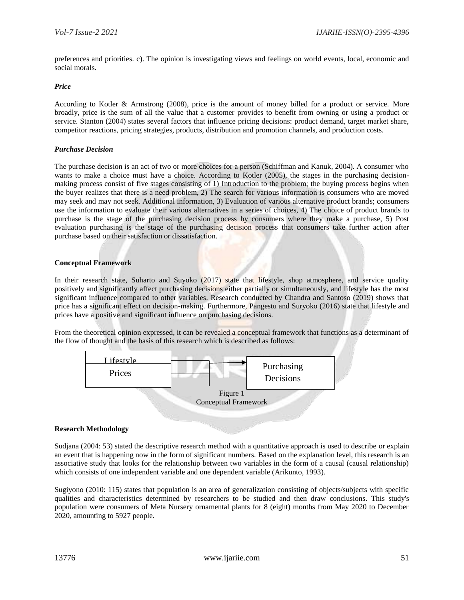preferences and priorities. c). The opinion is investigating views and feelings on world events, local, economic and social morals.

# *Price*

According to Kotler & Armstrong (2008), price is the amount of money billed for a product or service. More broadly, price is the sum of all the value that a customer provides to benefit from owning or using a product or service. Stanton (2004) states several factors that influence pricing decisions: product demand, target market share, competitor reactions, pricing strategies, products, distribution and promotion channels, and production costs.

# *Purchase Decision*

The purchase decision is an act of two or more choices for a person (Schiffman and Kanuk, 2004). A consumer who wants to make a choice must have a choice. According to Kotler (2005), the stages in the purchasing decisionmaking process consist of five stages consisting of 1) Introduction to the problem; the buying process begins when the buyer realizes that there is a need problem, 2) The search for various information is consumers who are moved may seek and may not seek. Additional information, 3) Evaluation of various alternative product brands; consumers use the information to evaluate their various alternatives in a series of choices, 4) The choice of product brands to purchase is the stage of the purchasing decision process by consumers where they make a purchase, 5) Post evaluation purchasing is the stage of the purchasing decision process that consumers take further action after purchase based on their satisfaction or dissatisfaction.

# **Conceptual Framework**

In their research state, Suharto and Suyoko (2017) state that lifestyle, shop atmosphere, and service quality positively and significantly affect purchasing decisions either partially or simultaneously, and lifestyle has the most significant influence compared to other variables. Research conducted by Chandra and Santoso (2019) shows that price has a significant effect on decision-making. Furthermore, Pangestu and Suryoko (2016) state that lifestyle and prices have a positive and significant influence on purchasing decisions.

From the theoretical opinion expressed, it can be revealed a conceptual framework that functions as a determinant of the flow of thought and the basis of this research which is described as follows:



## **Research Methodology**

Sudjana (2004: 53) stated the descriptive research method with a quantitative approach is used to describe or explain an event that is happening now in the form of significant numbers. Based on the explanation level, this research is an associative study that looks for the relationship between two variables in the form of a causal (causal relationship) which consists of one independent variable and one dependent variable (Arikunto, 1993).

Sugiyono (2010: 115) states that population is an area of generalization consisting of objects/subjects with specific qualities and characteristics determined by researchers to be studied and then draw conclusions. This study's population were consumers of Meta Nursery ornamental plants for 8 (eight) months from May 2020 to December 2020, amounting to 5927 people.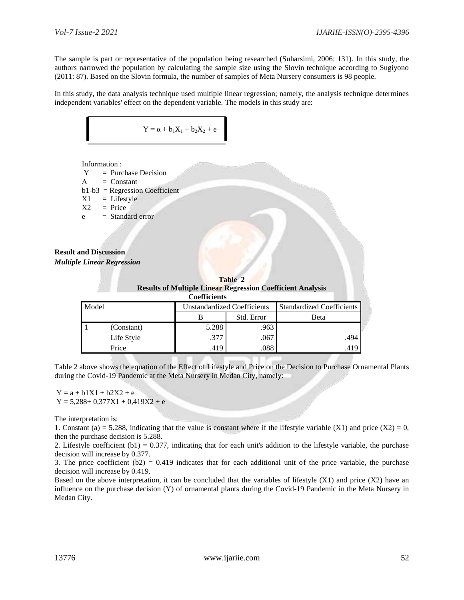The sample is part or representative of the population being researched (Suharsimi, 2006: 131). In this study, the authors narrowed the population by calculating the sample size using the Slovin technique according to Sugiyono (2011: 87). Based on the Slovin formula, the number of samples of Meta Nursery consumers is 98 people.

In this study, the data analysis technique used multiple linear regression; namely, the analysis technique determines independent variables' effect on the dependent variable. The models in this study are:

$$
Y=\alpha+b_1X_1+b_2X_2+e\\
$$

Information :  $Y =$  Purchase Decision  $A =$  Constant  $b1-b3$  = Regression Coefficient  $X1 = \text{Lifestyle}$  $X2 = Price$  $e = Standard error$ 

**Result and Discussion**  *Multiple Linear Regression*

| <b>Results of Multiple Linear Regression Coefficient Analysis</b><br><b>Coefficients</b> |            |                                    |            |                                  |  |
|------------------------------------------------------------------------------------------|------------|------------------------------------|------------|----------------------------------|--|
| Model                                                                                    |            | <b>Unstandardized Coefficients</b> |            | <b>Standardized Coefficients</b> |  |
|                                                                                          |            |                                    | Std. Error | Beta                             |  |
|                                                                                          | (Constant) | 5.288                              | .963       |                                  |  |
|                                                                                          | Life Style | .377                               | .067       | .494                             |  |
|                                                                                          | Price      | .419                               | .088       | .419                             |  |

**Table 2**

Table 2 above shows the equation of the Effect of Lifestyle and Price on the Decision to Purchase Ornamental Plants during the Covid-19 Pandemic at the Meta Nursery in Medan City, namely:

 $Y = a + b1X1 + b2X2 + e$  $Y = 5,288+0,377X1+0,419X2+e$ 

The interpretation is:

1. Constant (a) = 5.288, indicating that the value is constant where if the lifestyle variable (X1) and price  $(X2) = 0$ , then the purchase decision is 5.288.

2. Lifestyle coefficient  $(b1) = 0.377$ , indicating that for each unit's addition to the lifestyle variable, the purchase decision will increase by 0.377.

3. The price coefficient  $(b2) = 0.419$  indicates that for each additional unit of the price variable, the purchase decision will increase by 0.419.

Based on the above interpretation, it can be concluded that the variables of lifestyle  $(X1)$  and price  $(X2)$  have an influence on the purchase decision (Y) of ornamental plants during the Covid-19 Pandemic in the Meta Nursery in Medan City.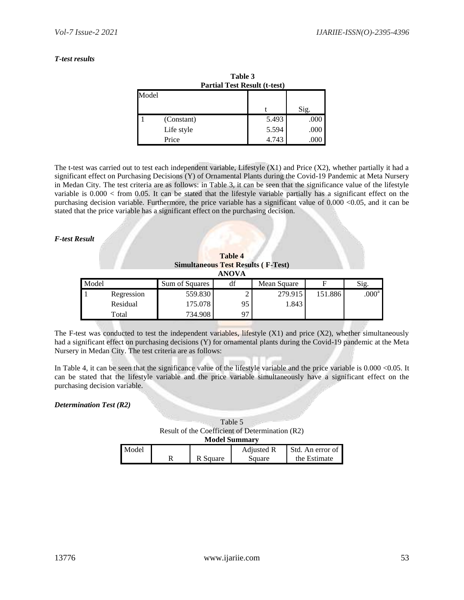# *T-test results*

| raviv J<br><b>Partial Test Result (t-test)</b> |            |       |      |  |
|------------------------------------------------|------------|-------|------|--|
| Model                                          |            |       |      |  |
|                                                |            |       | Sig. |  |
|                                                | (Constant) | 5.493 | .000 |  |
|                                                | Life style | 5.594 | .000 |  |
|                                                | Price      | 4.743 | .000 |  |

**Table 3**

The t-test was carried out to test each independent variable, Lifestyle  $(X1)$  and Price  $(X2)$ , whether partially it had a significant effect on Purchasing Decisions (Y) of Ornamental Plants during the Covid-19 Pandemic at Meta Nursery in Medan City. The test criteria are as follows: in Table 3, it can be seen that the significance value of the lifestyle variable is  $0.000 <$  from  $0.05$ . It can be stated that the lifestyle variable partially has a significant effect on the purchasing decision variable. Furthermore, the price variable has a significant value of 0.000 <0.05, and it can be stated that the price variable has a significant effect on the purchasing decision.

# *F-test Result*

| <b>Table 4</b><br><b>Simultaneous Test Results (F-Test)</b><br><b>ANOVA</b> |            |                |    |             |         |                   |
|-----------------------------------------------------------------------------|------------|----------------|----|-------------|---------|-------------------|
| Model                                                                       |            | Sum of Squares | df | Mean Square | F       | Sig.              |
|                                                                             | Regression | 559.830        |    | 279.915     | 151.886 | .000 <sup>a</sup> |
|                                                                             | Residual   | 175.078        | 95 | 1.843       |         |                   |
|                                                                             | Total      | 734.908        | 97 |             |         |                   |

The F-test was conducted to test the independent variables, lifestyle  $(X1)$  and price  $(X2)$ , whether simultaneously had a significant effect on purchasing decisions (Y) for ornamental plants during the Covid-19 pandemic at the Meta Nursery in Medan City. The test criteria are as follows:

In Table 4, it can be seen that the significance value of the lifestyle variable and the price variable is 0.000 <0.05. It can be stated that the lifestyle variable and the price variable simultaneously have a significant effect on the purchasing decision variable.

## *Determination Test (R2)*

|                                                 | Table 5              |  |
|-------------------------------------------------|----------------------|--|
| Result of the Coefficient of Determination (R2) |                      |  |
|                                                 | <b>Model Summary</b> |  |
|                                                 |                      |  |

| Model |          | <b>Adjusted R</b> | Std. An error of |
|-------|----------|-------------------|------------------|
|       | R Square | Square            | the Estimate     |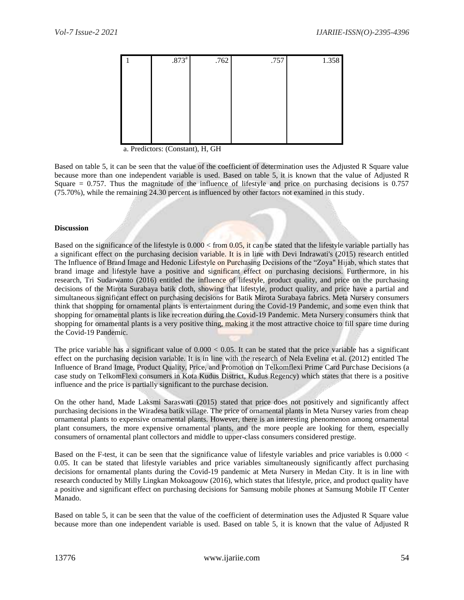

a. Predictors: (Constant), H, GH

Based on table 5, it can be seen that the value of the coefficient of determination uses the Adjusted R Square value because more than one independent variable is used. Based on table 5, it is known that the value of Adjusted R Square  $= 0.757$ . Thus the magnitude of the influence of lifestyle and price on purchasing decisions is 0.757 (75.70%), while the remaining 24.30 percent is influenced by other factors not examined in this study.

## **Discussion**

Based on the significance of the lifestyle is  $0.000 <$  from  $0.05$ , it can be stated that the lifestyle variable partially has a significant effect on the purchasing decision variable. It is in line with Devi Indrawati's (2015) research entitled The Influence of Brand Image and Hedonic Lifestyle on Purchasing Decisions of the "Zoya" Hijab, which states that brand image and lifestyle have a positive and significant effect on purchasing decisions. Furthermore, in his research, Tri Sudarwanto (2016) entitled the influence of lifestyle, product quality, and price on the purchasing decisions of the Mirota Surabaya batik cloth, showing that lifestyle, product quality, and price have a partial and simultaneous significant effect on purchasing decisions for Batik Mirota Surabaya fabrics. Meta Nursery consumers think that shopping for ornamental plants is entertainment during the Covid-19 Pandemic, and some even think that shopping for ornamental plants is like recreation during the Covid-19 Pandemic. Meta Nursery consumers think that shopping for ornamental plants is a very positive thing, making it the most attractive choice to fill spare time during the Covid-19 Pandemic.

The price variable has a significant value of  $0.000 < 0.05$ . It can be stated that the price variable has a significant effect on the purchasing decision variable. It is in line with the research of Nela Evelina et al. (2012) entitled The Influence of Brand Image, Product Quality, Price, and Promotion on Telkomflexi Prime Card Purchase Decisions (a case study on TelkomFlexi consumers in Kota Kudus District, Kudus Regency) which states that there is a positive influence and the price is partially significant to the purchase decision.

On the other hand, Made Laksmi Saraswati (2015) stated that price does not positively and significantly affect purchasing decisions in the Wiradesa batik village. The price of ornamental plants in Meta Nursey varies from cheap ornamental plants to expensive ornamental plants. However, there is an interesting phenomenon among ornamental plant consumers, the more expensive ornamental plants, and the more people are looking for them, especially consumers of ornamental plant collectors and middle to upper-class consumers considered prestige.

Based on the F-test, it can be seen that the significance value of lifestyle variables and price variables is 0.000 < 0.05. It can be stated that lifestyle variables and price variables simultaneously significantly affect purchasing decisions for ornamental plants during the Covid-19 pandemic at Meta Nursery in Medan City. It is in line with research conducted by Milly Lingkan Mokoagouw (2016), which states that lifestyle, price, and product quality have a positive and significant effect on purchasing decisions for Samsung mobile phones at Samsung Mobile IT Center Manado.

Based on table 5, it can be seen that the value of the coefficient of determination uses the Adjusted R Square value because more than one independent variable is used. Based on table 5, it is known that the value of Adjusted R